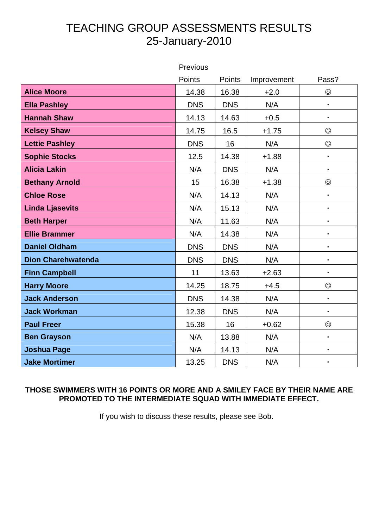## TEACHING GROUP ASSESSMENTS RESULTS 25-January-2010

|                           | Previous   |            |             |                |
|---------------------------|------------|------------|-------------|----------------|
|                           | Points     | Points     | Improvement | Pass?          |
| <b>Alice Moore</b>        | 14.38      | 16.38      | $+2.0$      | $\odot$        |
| <b>Ella Pashley</b>       | <b>DNS</b> | <b>DNS</b> | N/A         |                |
| <b>Hannah Shaw</b>        | 14.13      | 14.63      | $+0.5$      | $\blacksquare$ |
| <b>Kelsey Shaw</b>        | 14.75      | 16.5       | $+1.75$     | $\odot$        |
| <b>Lettie Pashley</b>     | <b>DNS</b> | 16         | N/A         | $\odot$        |
| <b>Sophie Stocks</b>      | 12.5       | 14.38      | $+1.88$     | $\blacksquare$ |
| <b>Alicia Lakin</b>       | N/A        | <b>DNS</b> | N/A         | $\blacksquare$ |
| <b>Bethany Arnold</b>     | 15         | 16.38      | $+1.38$     | $\odot$        |
| <b>Chloe Rose</b>         | N/A        | 14.13      | N/A         | ä,             |
| <b>Linda Ljasevits</b>    | N/A        | 15.13      | N/A         | $\blacksquare$ |
| <b>Beth Harper</b>        | N/A        | 11.63      | N/A         | $\blacksquare$ |
| <b>Ellie Brammer</b>      | N/A        | 14.38      | N/A         | $\blacksquare$ |
| <b>Daniel Oldham</b>      | <b>DNS</b> | <b>DNS</b> | N/A         | $\blacksquare$ |
| <b>Dion Charehwatenda</b> | <b>DNS</b> | <b>DNS</b> | N/A         | ı              |
| <b>Finn Campbell</b>      | 11         | 13.63      | $+2.63$     | $\blacksquare$ |
| <b>Harry Moore</b>        | 14.25      | 18.75      | $+4.5$      | $\odot$        |
| <b>Jack Anderson</b>      | <b>DNS</b> | 14.38      | N/A         | $\blacksquare$ |
| <b>Jack Workman</b>       | 12.38      | <b>DNS</b> | N/A         | $\blacksquare$ |
| <b>Paul Freer</b>         | 15.38      | 16         | $+0.62$     | $\odot$        |
| <b>Ben Grayson</b>        | N/A        | 13.88      | N/A         | $\blacksquare$ |
| <b>Joshua Page</b>        | N/A        | 14.13      | N/A         | $\blacksquare$ |
| <b>Jake Mortimer</b>      | 13.25      | <b>DNS</b> | N/A         | $\blacksquare$ |

## **THOSE SWIMMERS WITH 16 POINTS OR MORE AND A SMILEY FACE BY THEIR NAME ARE PROMOTED TO THE INTERMEDIATE SQUAD WITH IMMEDIATE EFFECT.**

If you wish to discuss these results, please see Bob.